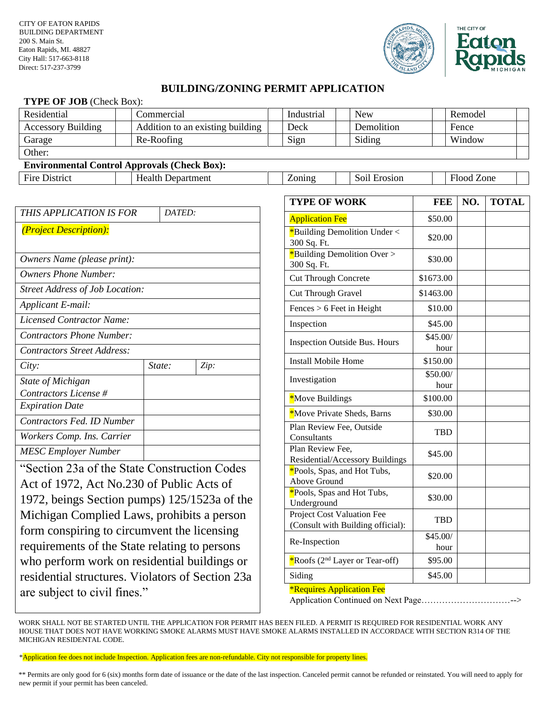



## **BUILDING/ZONING PERMIT APPLICATION**

## **TYPE OF JOB** (Check Box):

| Residential                                         |  | Commercial                       |  | Industrial |  | <b>New</b>   | Remodel    |  |
|-----------------------------------------------------|--|----------------------------------|--|------------|--|--------------|------------|--|
| <b>Accessory Building</b>                           |  | Addition to an existing building |  | Deck       |  | Demolition   | Fence      |  |
| Garage                                              |  | Re-Roofing                       |  | Sign       |  | Siding       | Window     |  |
| Other:                                              |  |                                  |  |            |  |              |            |  |
| <b>Environmental Control Approvals (Check Box):</b> |  |                                  |  |            |  |              |            |  |
| Fire District                                       |  | <b>Health Department</b>         |  | Zoning     |  | Soil Erosion | Flood Zone |  |

| THIS APPLICATION IS FOR            | DATED: |      |
|------------------------------------|--------|------|
| (Project Description):             |        |      |
|                                    |        |      |
| <i>Owners Name (please print):</i> |        |      |
| Owners Phone Number:               |        |      |
| Street Address of Job Location:    |        |      |
| Applicant E-mail:                  |        |      |
| Licensed Contractor Name:          |        |      |
| Contractors Phone Number:          |        |      |
| Contractors Street Address:        |        |      |
| City:                              | State: | Zip: |
| State of Michigan                  |        |      |
| Contractors License #              |        |      |
| <i>Expiration Date</i>             |        |      |
| Contractors Fed. ID Number         |        |      |
| Workers Comp. Ins. Carrier         |        |      |
| <b>MESC Employer Number</b>        |        |      |

"Section 23a of the State Construction Codes Act of 1972, Act No.230 of Public Acts of 1972, beings Section pumps) 125/1523a of the Michigan Complied Laws, prohibits a person form conspiring to circumvent the licensing requirements of the State relating to persons who perform work on residential buildings or residential structures. Violators of Section 23a are subject to civil fines."

| <b>TYPE OF WORK</b>                                             | <b>FEE</b>       | NO. | <b>TOTAL</b> |
|-----------------------------------------------------------------|------------------|-----|--------------|
| <b>Application Fee</b>                                          | \$50.00          |     |              |
| *Building Demolition Under <<br>300 Sq. Ft.                     | \$20.00          |     |              |
| *Building Demolition Over ><br>300 Sq. Ft.                      | \$30.00          |     |              |
| <b>Cut Through Concrete</b>                                     | \$1673.00        |     |              |
| Cut Through Gravel                                              | \$1463.00        |     |              |
| $Fences > 6$ Feet in Height                                     | \$10.00          |     |              |
| Inspection                                                      | \$45.00          |     |              |
| <b>Inspection Outside Bus. Hours</b>                            | \$45.00/<br>hour |     |              |
| <b>Install Mobile Home</b>                                      | \$150.00         |     |              |
| Investigation                                                   | \$50.00/<br>hour |     |              |
| *Move Buildings                                                 | \$100.00         |     |              |
| *Move Private Sheds, Barns                                      | \$30.00          |     |              |
| Plan Review Fee, Outside<br>Consultants                         | <b>TBD</b>       |     |              |
| Plan Review Fee,<br>Residential/Accessory Buildings             | \$45.00          |     |              |
| *Pools, Spas, and Hot Tubs,<br>Above Ground                     | \$20.00          |     |              |
| *Pools, Spas and Hot Tubs,<br>Underground                       | \$30.00          |     |              |
| Project Cost Valuation Fee<br>(Consult with Building official): | <b>TBD</b>       |     |              |
| Re-Inspection                                                   | \$45.00/<br>hour |     |              |
| *Roofs (2 <sup>nd</sup> Layer or Tear-off)                      | \$95.00          |     |              |
| Siding                                                          | \$45.00          |     |              |

## \*Requires Application Fee

Application Continued on Next Page…………………………-->

WORK SHALL NOT BE STARTED UNTIL THE APPLICATION FOR PERMIT HAS BEEN FILED. A PERMIT IS REQUIRED FOR RESIDENTIAL WORK ANY HOUSE THAT DOES NOT HAVE WORKING SMOKE ALARMS MUST HAVE SMOKE ALARMS INSTALLED IN ACCORDACE WITH SECTION R314 OF THE MICHIGAN RESIDENTAL CODE.

\*Application fee does not include Inspection. Application fees are non-refundable. City not responsible for property lines.

\*\* Permits are only good for 6 (six) months form date of issuance or the date of the last inspection. Canceled permit cannot be refunded or reinstated. You will need to apply for new permit if your permit has been canceled.